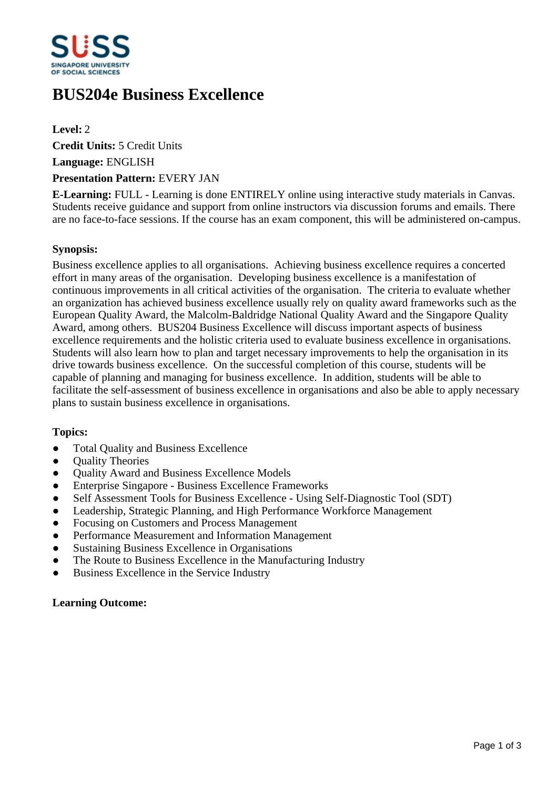

# **BUS204e Business Excellence**

**Level:** 2 **Credit Units:** 5 Credit Units **Language:** ENGLISH

## **Presentation Pattern:** EVERY JAN

**E-Learning:** FULL - Learning is done ENTIRELY online using interactive study materials in Canvas. Students receive guidance and support from online instructors via discussion forums and emails. There are no face-to-face sessions. If the course has an exam component, this will be administered on-campus.

## **Synopsis:**

Business excellence applies to all organisations. Achieving business excellence requires a concerted effort in many areas of the organisation. Developing business excellence is a manifestation of continuous improvements in all critical activities of the organisation. The criteria to evaluate whether an organization has achieved business excellence usually rely on quality award frameworks such as the European Quality Award, the Malcolm-Baldridge National Quality Award and the Singapore Quality Award, among others. BUS204 Business Excellence will discuss important aspects of business excellence requirements and the holistic criteria used to evaluate business excellence in organisations. Students will also learn how to plan and target necessary improvements to help the organisation in its drive towards business excellence. On the successful completion of this course, students will be capable of planning and managing for business excellence. In addition, students will be able to facilitate the self-assessment of business excellence in organisations and also be able to apply necessary plans to sustain business excellence in organisations.

# **Topics:**

- Total Quality and Business Excellence
- Ouality Theories
- Quality Award and Business Excellence Models
- ƔEnterprise Singapore Business Excellence Frameworks
- Self Assessment Tools for Business Excellence Using Self-Diagnostic Tool (SDT)
- Leadership, Strategic Planning, and High Performance Workforce Management
- Focusing on Customers and Process Management
- Performance Measurement and Information Management
- Sustaining Business Excellence in Organisations
- The Route to Business Excellence in the Manufacturing Industry
- Business Excellence in the Service Industry

#### **Learning Outcome:**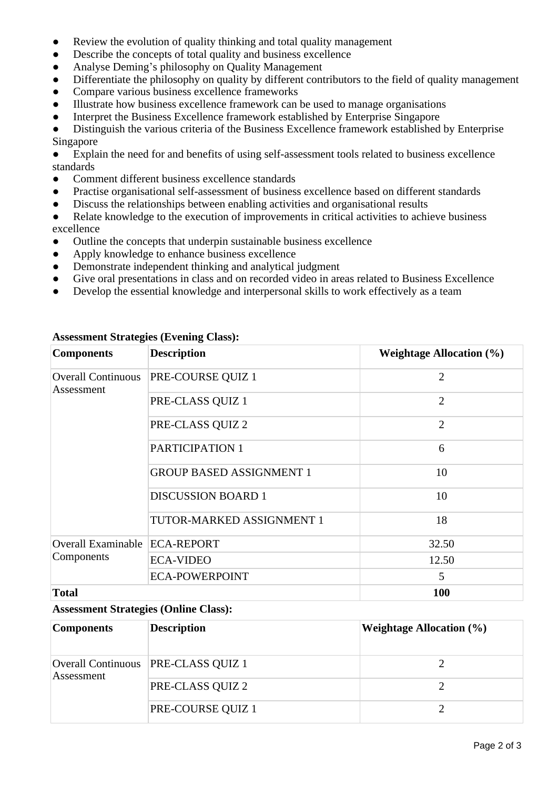- Review the evolution of quality thinking and total quality management
- Describe the concepts of total quality and business excellence
- Analyse Deming's philosophy on Quality Management
- Differentiate the philosophy on quality by different contributors to the field of quality management
- Compare various business excellence frameworks
- ƔIllustrate how business excellence framework can be used to manage organisations
- Interpret the Business Excellence framework established by Enterprise Singapore

Distinguish the various criteria of the Business Excellence framework established by Enterprise Singapore

Explain the need for and benefits of using self-assessment tools related to business excellence standards

- ƔComment different business excellence standards
- Practise organisational self-assessment of business excellence based on different standards
- Discuss the relationships between enabling activities and organisational results
- Relate knowledge to the execution of improvements in critical activities to achieve business excellence
- Outline the concepts that underpin sustainable business excellence
- Apply knowledge to enhance business excellence
- Demonstrate independent thinking and analytical judgment
- Give oral presentations in class and on recorded video in areas related to Business Excellence
- Develop the essential knowledge and interpersonal skills to work effectively as a team

| <b>Components</b>                       | <b>Description</b>              | <b>Weightage Allocation (%)</b> |
|-----------------------------------------|---------------------------------|---------------------------------|
| <b>Overall Continuous</b><br>Assessment | PRE-COURSE QUIZ 1               | $\overline{2}$                  |
|                                         | PRE-CLASS QUIZ 1                | $\overline{2}$                  |
|                                         | PRE-CLASS QUIZ 2                | $\overline{2}$                  |
|                                         | PARTICIPATION 1                 | 6                               |
|                                         | <b>GROUP BASED ASSIGNMENT 1</b> | 10                              |
|                                         | <b>DISCUSSION BOARD 1</b>       | 10                              |
|                                         | TUTOR-MARKED ASSIGNMENT 1       | 18                              |
| <b>Overall Examinable</b><br>Components | <b>ECA-REPORT</b>               | 32.50                           |
|                                         | <b>ECA-VIDEO</b>                | 12.50                           |
|                                         | <b>ECA-POWERPOINT</b>           | 5                               |
| <b>Total</b>                            |                                 | 100                             |

## **Assessment Strategies (Evening Class):**

### **Assessment Strategies (Online Class):**

| <b>Components</b> | <b>Description</b>                  | Weightage Allocation $(\% )$ |
|-------------------|-------------------------------------|------------------------------|
| Assessment        | Overall Continuous PRE-CLASS QUIZ 1 |                              |
|                   | PRE-CLASS QUIZ 2                    |                              |
|                   | PRE-COURSE QUIZ 1                   |                              |